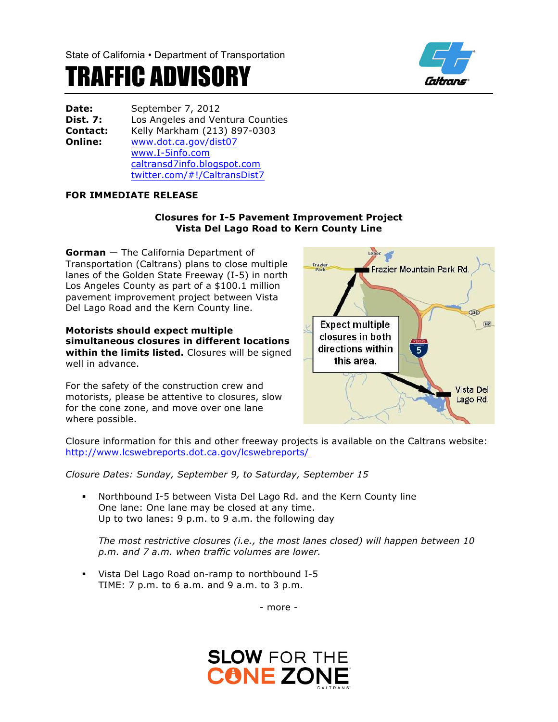

## TRAFFIC ADVISORY

| Date:           | September 7, 2012                |
|-----------------|----------------------------------|
| <b>Dist. 7:</b> | Los Angeles and Ventura Counties |
| <b>Contact:</b> | Kelly Markham (213) 897-0303     |
| Online:         | www.dot.ca.gov/dist07            |
|                 | www.I-5info.com                  |
|                 | caltransd7info.blogspot.com      |
|                 | twitter.com/#!/CaltransDist7     |

## **FOR IMMEDIATE RELEASE**

## **Closures for I-5 Pavement Improvement Project Vista Del Lago Road to Kern County Line**

**Gorman** — The California Department of Transportation (Caltrans) plans to close multiple lanes of the Golden State Freeway (I-5) in north Los Angeles County as part of a \$100.1 million pavement improvement project between Vista Del Lago Road and the Kern County line.

**Motorists should expect multiple simultaneous closures in different locations within the limits listed.** Closures will be signed well in advance.

For the safety of the construction crew and motorists, please be attentive to closures, slow for the cone zone, and move over one lane where possible.



Closure information for this and other freeway projects is available on the Caltrans website: http://www.lcswebreports.dot.ca.gov/lcswebreports/

*Closure Dates: Sunday, September 9, to Saturday, September 15*

§ Northbound I-5 between Vista Del Lago Rd. and the Kern County line One lane: One lane may be closed at any time. Up to two lanes: 9 p.m. to 9 a.m. the following day

*The most restrictive closures (i.e., the most lanes closed) will happen between 10 p.m. and 7 a.m. when traffic volumes are lower.*

§ Vista Del Lago Road on-ramp to northbound I-5 TIME: 7 p.m. to 6 a.m. and 9 a.m. to 3 p.m.

- more -